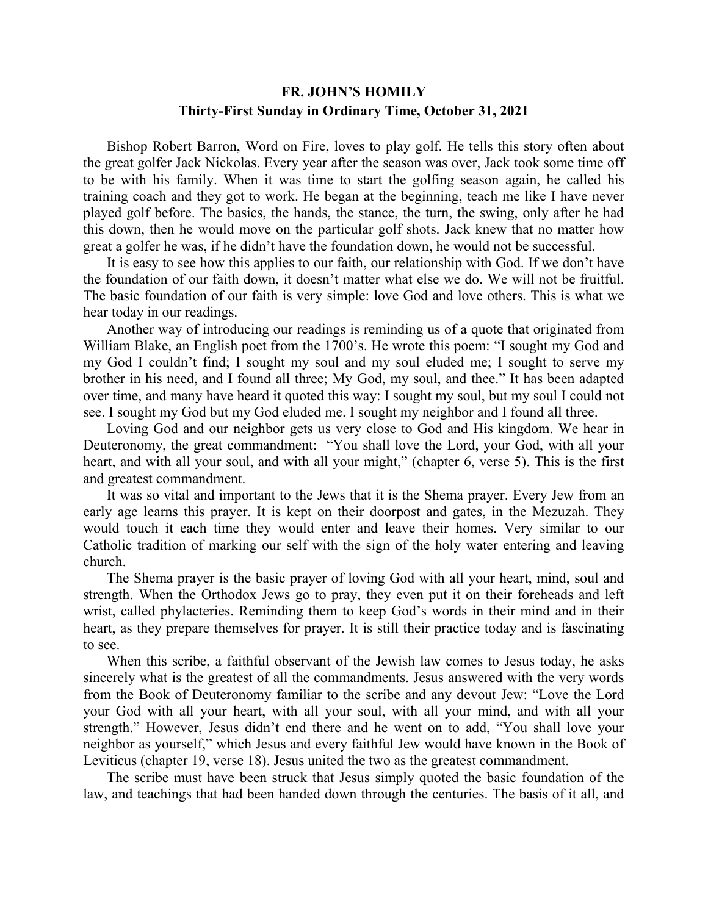## **FR. JOHN'S HOMILY Thirty-First Sunday in Ordinary Time, October 31, 2021**

 Bishop Robert Barron, Word on Fire, loves to play golf. He tells this story often about the great golfer Jack Nickolas. Every year after the season was over, Jack took some time off to be with his family. When it was time to start the golfing season again, he called his training coach and they got to work. He began at the beginning, teach me like I have never played golf before. The basics, the hands, the stance, the turn, the swing, only after he had this down, then he would move on the particular golf shots. Jack knew that no matter how great a golfer he was, if he didn't have the foundation down, he would not be successful.

 It is easy to see how this applies to our faith, our relationship with God. If we don't have the foundation of our faith down, it doesn't matter what else we do. We will not be fruitful. The basic foundation of our faith is very simple: love God and love others. This is what we hear today in our readings.

 Another way of introducing our readings is reminding us of a quote that originated from William Blake, an English poet from the 1700's. He wrote this poem: "I sought my God and my God I couldn't find; I sought my soul and my soul eluded me; I sought to serve my brother in his need, and I found all three; My God, my soul, and thee." It has been adapted over time, and many have heard it quoted this way: I sought my soul, but my soul I could not see. I sought my God but my God eluded me. I sought my neighbor and I found all three.

 Loving God and our neighbor gets us very close to God and His kingdom. We hear in Deuteronomy, the great commandment: "You shall love the Lord, your God, with all your heart, and with all your soul, and with all your might," (chapter 6, verse 5). This is the first and greatest commandment.

 It was so vital and important to the Jews that it is the Shema prayer. Every Jew from an early age learns this prayer. It is kept on their doorpost and gates, in the Mezuzah. They would touch it each time they would enter and leave their homes. Very similar to our Catholic tradition of marking our self with the sign of the holy water entering and leaving church.

 The Shema prayer is the basic prayer of loving God with all your heart, mind, soul and strength. When the Orthodox Jews go to pray, they even put it on their foreheads and left wrist, called phylacteries. Reminding them to keep God's words in their mind and in their heart, as they prepare themselves for prayer. It is still their practice today and is fascinating to see.

 When this scribe, a faithful observant of the Jewish law comes to Jesus today, he asks sincerely what is the greatest of all the commandments. Jesus answered with the very words from the Book of Deuteronomy familiar to the scribe and any devout Jew: "Love the Lord your God with all your heart, with all your soul, with all your mind, and with all your strength." However, Jesus didn't end there and he went on to add, "You shall love your neighbor as yourself," which Jesus and every faithful Jew would have known in the Book of Leviticus (chapter 19, verse 18). Jesus united the two as the greatest commandment.

 The scribe must have been struck that Jesus simply quoted the basic foundation of the law, and teachings that had been handed down through the centuries. The basis of it all, and